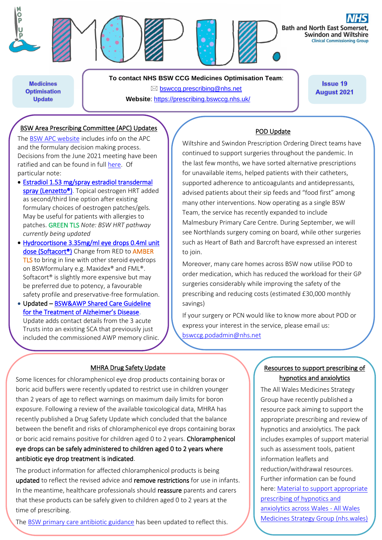

**Medicines Optimisation Update** 

**To contact NHS BSW CCG Medicines Optimisation Team**: [bswccg.prescribing@nhs.net](mailto:bswccg.prescribing@nhs.net) **Website**: [https://prescribing.bswccg.nhs.uk/](https://prescribing.wiltshireccg.nhs.uk/)

**Issue 19 August 2021** 

# BSW Area Prescribing Committee (APC) Updates

The [BSW APC website](https://prescribing.bswccg.nhs.uk/apc) includes info on the APC and the formulary decision making process. Decisions from the June 2021 meeting have been ratified and can be found in full [here.](https://prescribing.bswccg.nhs.uk/apc-recent-decisions) Of particular note:

- [Estradiol 1.53 mg/spray estradiol transdermal](https://www.medicines.org.uk/emc/product/11175/pil)  [spray \(Lenzetto®\).](https://www.medicines.org.uk/emc/product/11175/pil) Topical oestrogen HRT added as second/third line option after existing formulary choices of oestrogen patches/gels. May be useful for patients with allergies to patches. GREEN TLS *Note: BSW HRT pathway currently being updated*
- [Hydrocortisone 3.35mg/ml eye drops 0.4ml unit](http://bswformulary.nhs.uk/chaptersSubDetails.asp?FormularySectionID=11&SubSectionRef=11.04.01&SubSectionID=A100&drugmatch=2589#2589)  [dose \(Softacort®\)](http://bswformulary.nhs.uk/chaptersSubDetails.asp?FormularySectionID=11&SubSectionRef=11.04.01&SubSectionID=A100&drugmatch=2589#2589) Change from RED to AMBER TLS to bring in line with other steroid eyedrops on BSWformulary e.g. Maxidex® and FML®. Softacort® is slightly more expensive but may be preferred due to potency, a favourable safety profile and preservative-free formulation.
- Updated – [BSW&AWP Shared Care Guideline](https://prescribing.bswccg.nhs.uk/?wpdmdl=6787)  [for the Treatment of Alzheimer's Disease](https://prescribing.bswccg.nhs.uk/?wpdmdl=6787). Update adds contact details from the 3 acute Trusts into an existing SCA that previously just included the commissioned AWP memory clinic.

#### POD Update

Wiltshire and Swindon Prescription Ordering Direct teams have continued to support surgeries throughout the pandemic. In the last few months, we have sorted alternative prescriptions for unavailable items, helped patients with their catheters, supported adherence to anticoagulants and antidepressants, advised patients about their sip feeds and "food first" among many other interventions. Now operating as a single BSW Team, the service has recently expanded to include Malmesbury Primary Care Centre. During September, we will see Northlands surgery coming on board, while other surgeries such as Heart of Bath and Barcroft have expressed an interest to join.

Moreover, many care homes across BSW now utilise POD to order medication, which has reduced the workload for their GP surgeries considerably while improving the safety of the prescribing and reducing costs (estimated £30,000 monthly savings)

If your surgery or PCN would like to know more about POD or express your interest in the service, please email us: [bswccg.podadmin@nhs.net](mailto:bswccg.podadmin@nhs.net)

#### MHRA Drug Safety Update

Some licences for chloramphenicol eye drop products containing borax or boric acid buffers were recently updated to restrict use in children younger than 2 years of age to reflect warnings on maximum daily limits for boron exposure. Following a review of the available toxicological data, MHRA has recently published a Drug Safety Update which concluded that the balance between the benefit and risks of chloramphenicol eye drops containing borax or boric acid remains positive for children aged 0 to 2 years. Chloramphenicol eye drops can be safely administered to children aged 0 to 2 years where antibiotic eye drop treatment is indicated.

The product information for affected chloramphenicol products is being updated to reflect the revised advice and remove restrictions for use in infants. In the meantime, healthcare professionals should reassure parents and carers that these products can be safely given to children aged 0 to 2 years at the time of prescribing.

Th[e BSW primary care antibiotic guidance](https://prescribing.bswccg.nhs.uk/?wpdmdl=6041) has been updated to reflect this.

## Resources to support prescribing of hypnotics and anxiolytics

The All Wales Medicines Strategy Group have recently published a resource pack aiming to support the appropriate prescribing and review of hypnotics and anxiolytics. The pack includes examples of support material such as assessment tools, patient information leaflets and reduction/withdrawal resources. Further information can be found here: [Material to support appropriate](https://awmsg.nhs.wales/medicines-appraisals-and-guidance/medicines-optimisation/prescribing-guidance/material-to-support-appropriate-prescribing-of-hypnotics-and-anxiolytics-across-wales/)  [prescribing of hypnotics and](https://awmsg.nhs.wales/medicines-appraisals-and-guidance/medicines-optimisation/prescribing-guidance/material-to-support-appropriate-prescribing-of-hypnotics-and-anxiolytics-across-wales/)  [anxiolytics across Wales -](https://awmsg.nhs.wales/medicines-appraisals-and-guidance/medicines-optimisation/prescribing-guidance/material-to-support-appropriate-prescribing-of-hypnotics-and-anxiolytics-across-wales/) All Wales [Medicines Strategy Group \(nhs.wales\)](https://awmsg.nhs.wales/medicines-appraisals-and-guidance/medicines-optimisation/prescribing-guidance/material-to-support-appropriate-prescribing-of-hypnotics-and-anxiolytics-across-wales/)